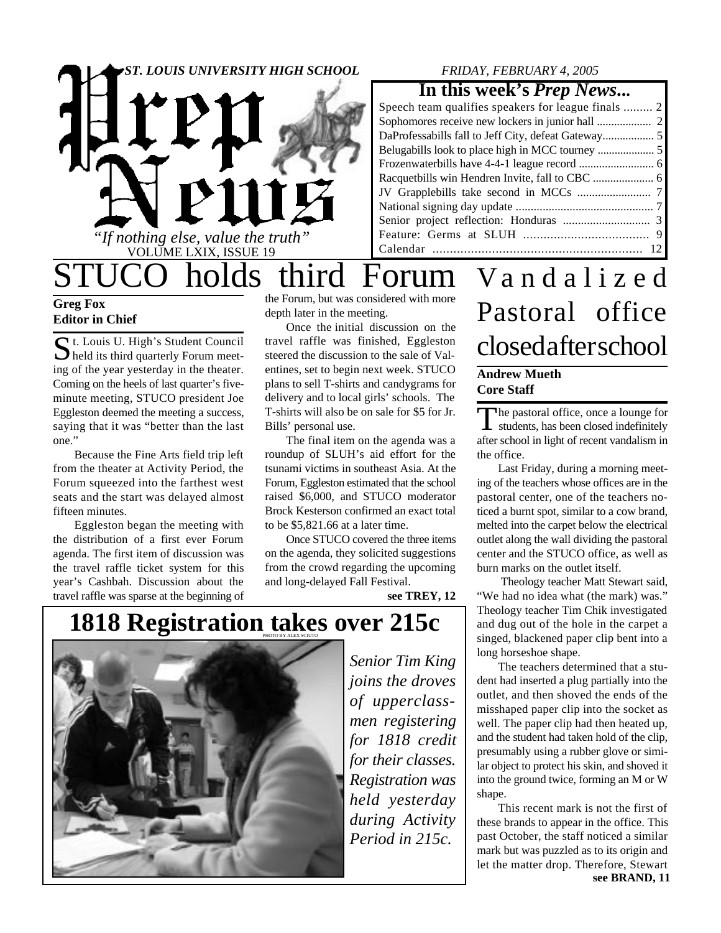

### *FRIDAY, FEBRUARY 4, 2005*

### **In this week's** *Prep News***...**

| DaProfessabills fall to Jeff City, defeat Gateway 5 |  |
|-----------------------------------------------------|--|
|                                                     |  |
|                                                     |  |
|                                                     |  |
|                                                     |  |
|                                                     |  |
|                                                     |  |
|                                                     |  |
|                                                     |  |
|                                                     |  |

STUCO holds third Forum Vandalized

### **Greg Fox Editor in Chief**

St. Louis U. High's Student Council<br>held its third quarterly Forum meet- $\sum$  held its third quarterly Forum meeting of the year yesterday in the theater. Coming on the heels of last quarter's fiveminute meeting, STUCO president Joe Eggleston deemed the meeting a success, saying that it was "better than the last one."

Because the Fine Arts field trip left from the theater at Activity Period, the Forum squeezed into the farthest west seats and the start was delayed almost fifteen minutes.

Eggleston began the meeting with the distribution of a first ever Forum agenda. The first item of discussion was the travel raffle ticket system for this year's Cashbah. Discussion about the travel raffle was sparse at the beginning of

the Forum, but was considered with more depth later in the meeting.

Once the initial discussion on the travel raffle was finished, Eggleston steered the discussion to the sale of Valentines, set to begin next week. STUCO plans to sell T-shirts and candygrams for delivery and to local girls' schools. The T-shirts will also be on sale for \$5 for Jr. Bills' personal use.

The final item on the agenda was a roundup of SLUH's aid effort for the tsunami victims in southeast Asia. At the Forum, Eggleston estimated that the school raised \$6,000, and STUCO moderator Brock Kesterson confirmed an exact total to be \$5,821.66 at a later time.

Once STUCO covered the three items on the agenda, they solicited suggestions from the crowd regarding the upcoming and long-delayed Fall Festival.

**see TREY, 12**

### **1818 Registration takes over 215c**



*Senior Tim King joins the droves of upperclassmen registering for 1818 credit for their classes. Registration was held yesterday during Activity Period in 215c.*

# Pastoral office closed after school

#### **Andrew Mueth Core Staff**

The pastoral office, once a lounge for<br>students, has been closed indefinitely he pastoral office, once a lounge for after school in light of recent vandalism in the office.

Last Friday, during a morning meeting of the teachers whose offices are in the pastoral center, one of the teachers noticed a burnt spot, similar to a cow brand, melted into the carpet below the electrical outlet along the wall dividing the pastoral center and the STUCO office, as well as burn marks on the outlet itself.

 Theology teacher Matt Stewart said, "We had no idea what (the mark) was." Theology teacher Tim Chik investigated and dug out of the hole in the carpet a singed, blackened paper clip bent into a long horseshoe shape.

The teachers determined that a student had inserted a plug partially into the outlet, and then shoved the ends of the misshaped paper clip into the socket as well. The paper clip had then heated up, and the student had taken hold of the clip, presumably using a rubber glove or similar object to protect his skin, and shoved it into the ground twice, forming an M or W shape.

This recent mark is not the first of these brands to appear in the office. This past October, the staff noticed a similar mark but was puzzled as to its origin and let the matter drop. Therefore, Stewart **see BRAND, 11**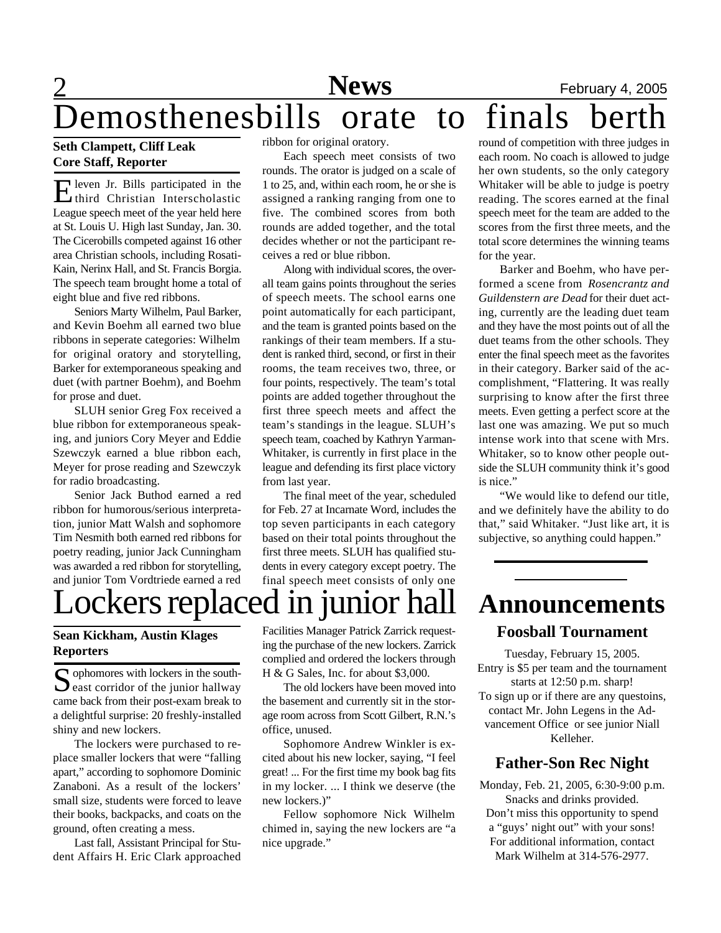## 2 **News** February 4, 2005 Demosthenesbills orate to final

### **Seth Clampett, Cliff Leak Core Staff, Reporter**

Eleven Jr. Bills participated in the<br>
third Christian Interscholastic third Christian Interscholastic League speech meet of the year held here at St. Louis U. High last Sunday, Jan. 30. The Cicerobills competed against 16 other area Christian schools, including Rosati-Kain, Nerinx Hall, and St. Francis Borgia. The speech team brought home a total of eight blue and five red ribbons.

Seniors Marty Wilhelm, Paul Barker, and Kevin Boehm all earned two blue ribbons in seperate categories: Wilhelm for original oratory and storytelling, Barker for extemporaneous speaking and duet (with partner Boehm), and Boehm for prose and duet.

SLUH senior Greg Fox received a blue ribbon for extemporaneous speaking, and juniors Cory Meyer and Eddie Szewczyk earned a blue ribbon each, Meyer for prose reading and Szewczyk for radio broadcasting.

Senior Jack Buthod earned a red ribbon for humorous/serious interpretation, junior Matt Walsh and sophomore Tim Nesmith both earned red ribbons for poetry reading, junior Jack Cunningham was awarded a red ribbon for storytelling, and junior Tom Vordtriede earned a red

ribbon for original oratory.

Each speech meet consists of two rounds. The orator is judged on a scale of 1 to 25, and, within each room, he or she is assigned a ranking ranging from one to five. The combined scores from both rounds are added together, and the total decides whether or not the participant receives a red or blue ribbon.

Along with individual scores, the overall team gains points throughout the series of speech meets. The school earns one point automatically for each participant, and the team is granted points based on the rankings of their team members. If a student is ranked third, second, or first in their rooms, the team receives two, three, or four points, respectively. The team's total points are added together throughout the first three speech meets and affect the team's standings in the league. SLUH's speech team, coached by Kathryn Yarman-Whitaker, is currently in first place in the league and defending its first place victory from last year.

The final meet of the year, scheduled for Feb. 27 at Incarnate Word, includes the top seven participants in each category based on their total points throughout the first three meets. SLUH has qualified students in every category except poetry. The final speech meet consists of only one

### ockers replaced in junior ha **Sean Kickham, Austin Klages**

**Reporters**

S ophomores with lockers in the south-<br>east corridor of the junior hallway  $\bigcap$  ophomores with lockers in the southcame back from their post-exam break to a delightful surprise: 20 freshly-installed shiny and new lockers.

The lockers were purchased to replace smaller lockers that were "falling apart," according to sophomore Dominic Zanaboni. As a result of the lockers' small size, students were forced to leave their books, backpacks, and coats on the ground, often creating a mess.

Last fall, Assistant Principal for Student Affairs H. Eric Clark approached Facilities Manager Patrick Zarrick requesting the purchase of the new lockers. Zarrick complied and ordered the lockers through H & G Sales, Inc. for about \$3,000.

The old lockers have been moved into the basement and currently sit in the storage room across from Scott Gilbert, R.N.'s office, unused.

Sophomore Andrew Winkler is excited about his new locker, saying, "I feel great! ... For the first time my book bag fits in my locker. ... I think we deserve (the new lockers.)"

Fellow sophomore Nick Wilhelm chimed in, saying the new lockers are "a nice upgrade."

round of competition with three judges in each room. No coach is allowed to judge her own students, so the only category Whitaker will be able to judge is poetry reading. The scores earned at the final speech meet for the team are added to the scores from the first three meets, and the total score determines the winning teams for the year.

Barker and Boehm, who have performed a scene from *Rosencrantz and Guildenstern are Dead* for their duet acting, currently are the leading duet team and they have the most points out of all the duet teams from the other schools. They enter the final speech meet as the favorites in their category. Barker said of the accomplishment, "Flattering. It was really surprising to know after the first three meets. Even getting a perfect score at the last one was amazing. We put so much intense work into that scene with Mrs. Whitaker, so to know other people outside the SLUH community think it's good is nice."

"We would like to defend our title, and we definitely have the ability to do that," said Whitaker. "Just like art, it is subjective, so anything could happen."

### **Announcements Foosball Tournament**

Tuesday, February 15, 2005. Entry is \$5 per team and the tournament starts at 12:50 p.m. sharp! To sign up or if there are any questoins, contact Mr. John Legens in the Advancement Office or see junior Niall Kelleher.

### **Father-Son Rec Night**

Monday, Feb. 21, 2005, 6:30-9:00 p.m. Snacks and drinks provided. Don't miss this opportunity to spend a "guys' night out" with your sons! For additional information, contact Mark Wilhelm at 314-576-2977.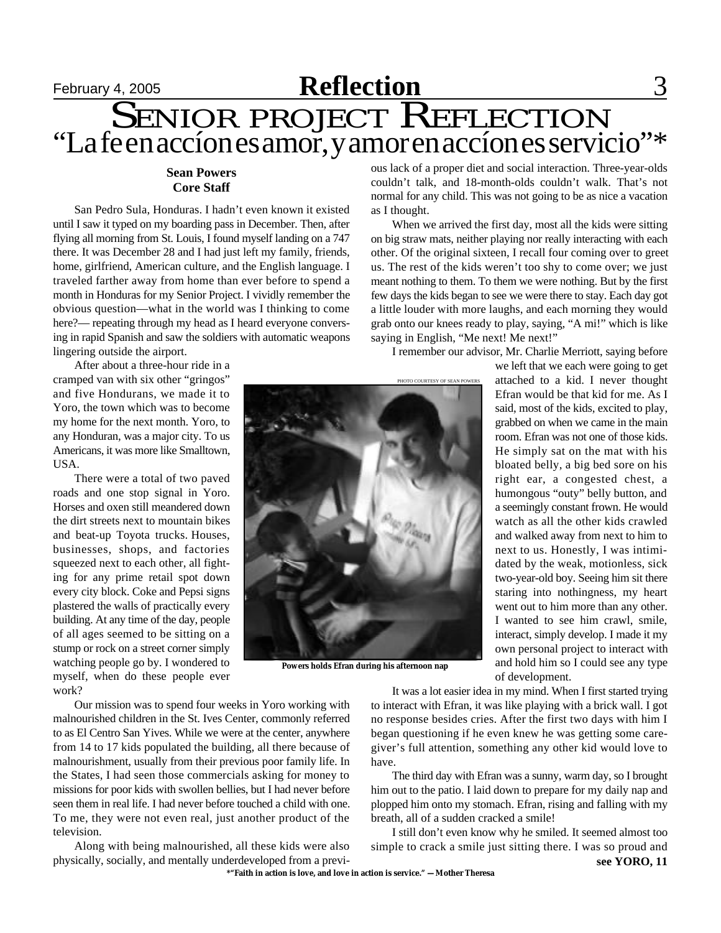

#### **Sean Powers Core Staff**

San Pedro Sula, Honduras. I hadn't even known it existed until I saw it typed on my boarding pass in December. Then, after flying all morning from St. Louis, I found myself landing on a 747 there. It was December 28 and I had just left my family, friends, home, girlfriend, American culture, and the English language. I traveled farther away from home than ever before to spend a month in Honduras for my Senior Project. I vividly remember the obvious question—what in the world was I thinking to come here?— repeating through my head as I heard everyone conversing in rapid Spanish and saw the soldiers with automatic weapons lingering outside the airport.

After about a three-hour ride in a cramped van with six other "gringos" and five Hondurans, we made it to Yoro, the town which was to become my home for the next month. Yoro, to any Honduran, was a major city. To us Americans, it was more like Smalltown, USA.

There were a total of two paved roads and one stop signal in Yoro. Horses and oxen still meandered down the dirt streets next to mountain bikes and beat-up Toyota trucks. Houses, businesses, shops, and factories squeezed next to each other, all fighting for any prime retail spot down every city block. Coke and Pepsi signs plastered the walls of practically every building. At any time of the day, people of all ages seemed to be sitting on a stump or rock on a street corner simply watching people go by. I wondered to myself, when do these people ever work?

Our mission was to spend four weeks in Yoro working with malnourished children in the St. Ives Center, commonly referred to as El Centro San Yives. While we were at the center, anywhere from 14 to 17 kids populated the building, all there because of malnourishment, usually from their previous poor family life. In the States, I had seen those commercials asking for money to missions for poor kids with swollen bellies, but I had never before seen them in real life. I had never before touched a child with one. To me, they were not even real, just another product of the television.

Along with being malnourished, all these kids were also physically, socially, and mentally underdeveloped from a previous lack of a proper diet and social interaction. Three-year-olds couldn't talk, and 18-month-olds couldn't walk. That's not normal for any child. This was not going to be as nice a vacation as I thought.

When we arrived the first day, most all the kids were sitting on big straw mats, neither playing nor really interacting with each other. Of the original sixteen, I recall four coming over to greet us. The rest of the kids weren't too shy to come over; we just meant nothing to them. To them we were nothing. But by the first few days the kids began to see we were there to stay. Each day got a little louder with more laughs, and each morning they would grab onto our knees ready to play, saying, "A mi!" which is like saying in English, "Me next! Me next!"

I remember our advisor, Mr. Charlie Merriott, saying before



 **Powers holds Efran during his afternoon nap**

we left that we each were going to get attached to a kid. I never thought Efran would be that kid for me. As I said, most of the kids, excited to play, grabbed on when we came in the main room. Efran was not one of those kids. He simply sat on the mat with his bloated belly, a big bed sore on his right ear, a congested chest, a humongous "outy" belly button, and a seemingly constant frown. He would watch as all the other kids crawled and walked away from next to him to next to us. Honestly, I was intimidated by the weak, motionless, sick two-year-old boy. Seeing him sit there staring into nothingness, my heart went out to him more than any other. I wanted to see him crawl, smile, interact, simply develop. I made it my own personal project to interact with and hold him so I could see any type of development.

It was a lot easier idea in my mind. When I first started trying to interact with Efran, it was like playing with a brick wall. I got no response besides cries. After the first two days with him I began questioning if he even knew he was getting some caregiver's full attention, something any other kid would love to have.

The third day with Efran was a sunny, warm day, so I brought him out to the patio. I laid down to prepare for my daily nap and plopped him onto my stomach. Efran, rising and falling with my breath, all of a sudden cracked a smile!

I still don't even know why he smiled. It seemed almost too simple to crack a smile just sitting there. I was so proud and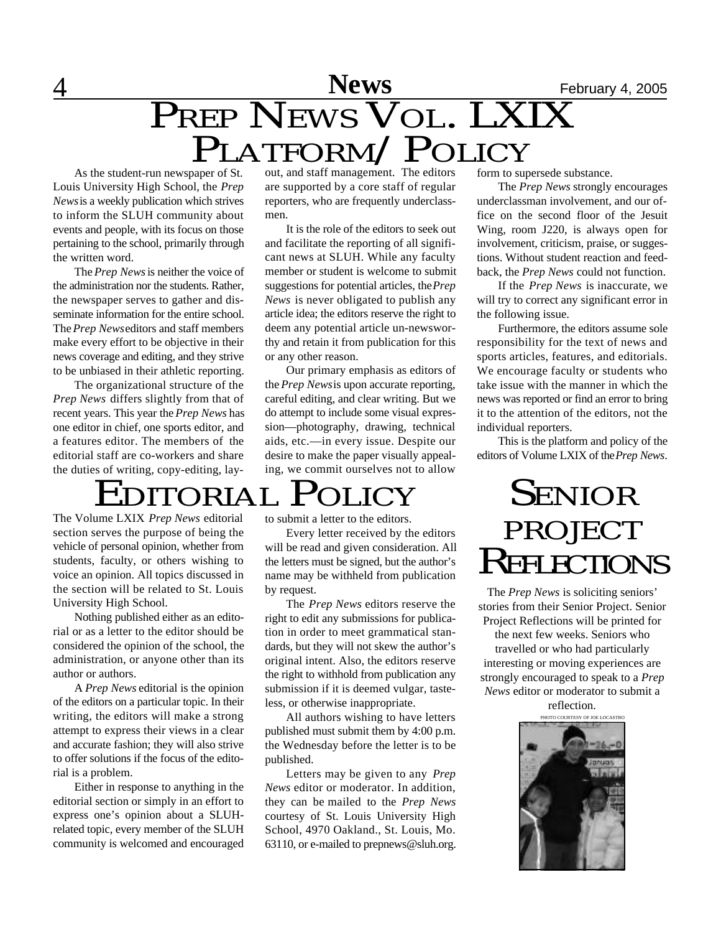### 4 **News** February 4, 2005 PREP NEWS VOL. LXIX PLATFORM/POLICY

As the student-run newspaper of St. Louis University High School, the *Prep News* is a weekly publication which strives to inform the SLUH community about events and people, with its focus on those pertaining to the school, primarily through the written word.

The *Prep News* is neither the voice of the administration nor the students. Rather, the newspaper serves to gather and disseminate information for the entire school. The *Prep News* editors and staff members make every effort to be objective in their news coverage and editing, and they strive to be unbiased in their athletic reporting.

The organizational structure of the *Prep News* differs slightly from that of recent years. This year the *Prep News* has one editor in chief, one sports editor, and a features editor. The members of the editorial staff are co-workers and share the duties of writing, copy-editing, lay-

out, and staff management. The editors are supported by a core staff of regular reporters, who are frequently underclassmen.

It is the role of the editors to seek out and facilitate the reporting of all significant news at SLUH. While any faculty member or student is welcome to submit suggestions for potential articles, the *Prep News* is never obligated to publish any article idea; the editors reserve the right to deem any potential article un-newsworthy and retain it from publication for this or any other reason.

Our primary emphasis as editors of the *Prep News* is upon accurate reporting, careful editing, and clear writing. But we do attempt to include some visual expression—photography, drawing, technical aids, etc.—in every issue. Despite our desire to make the paper visually appealing, we commit ourselves not to allow

### DITORIAL POLICY

The Volume LXIX *Prep News* editorial section serves the purpose of being the vehicle of personal opinion, whether from students, faculty, or others wishing to voice an opinion. All topics discussed in the section will be related to St. Louis University High School.

Nothing published either as an editorial or as a letter to the editor should be considered the opinion of the school, the administration, or anyone other than its author or authors.

A *Prep News* editorial is the opinion of the editors on a particular topic. In their writing, the editors will make a strong attempt to express their views in a clear and accurate fashion; they will also strive to offer solutions if the focus of the editorial is a problem.

Either in response to anything in the editorial section or simply in an effort to express one's opinion about a SLUHrelated topic, every member of the SLUH community is welcomed and encouraged

to submit a letter to the editors.

Every letter received by the editors will be read and given consideration. All the letters must be signed, but the author's name may be withheld from publication by request.

The *Prep News* editors reserve the right to edit any submissions for publication in order to meet grammatical standards, but they will not skew the author's original intent. Also, the editors reserve the right to withhold from publication any submission if it is deemed vulgar, tasteless, or otherwise inappropriate.

All authors wishing to have letters published must submit them by 4:00 p.m. the Wednesday before the letter is to be published.

Letters may be given to any *Prep News* editor or moderator. In addition, they can be mailed to the *Prep News* courtesy of St. Louis University High School, 4970 Oakland., St. Louis, Mo. 63110, or e-mailed to prepnews@sluh.org.

form to supersede substance.

The *Prep News* strongly encourages underclassman involvement, and our office on the second floor of the Jesuit Wing, room J220, is always open for involvement, criticism, praise, or suggestions. Without student reaction and feedback, the *Prep News* could not function.

If the *Prep News* is inaccurate, we will try to correct any significant error in the following issue.

Furthermore, the editors assume sole responsibility for the text of news and sports articles, features, and editorials. We encourage faculty or students who take issue with the manner in which the news was reported or find an error to bring it to the attention of the editors, not the individual reporters.

This is the platform and policy of the editors of Volume LXIX of the *Prep News*.

### SENIOR PROJECT REFLECTIONS

The *Prep News* is soliciting seniors' stories from their Senior Project. Senior Project Reflections will be printed for

the next few weeks. Seniors who travelled or who had particularly interesting or moving experiences are strongly encouraged to speak to a *Prep News* editor or moderator to submit a

reflection.

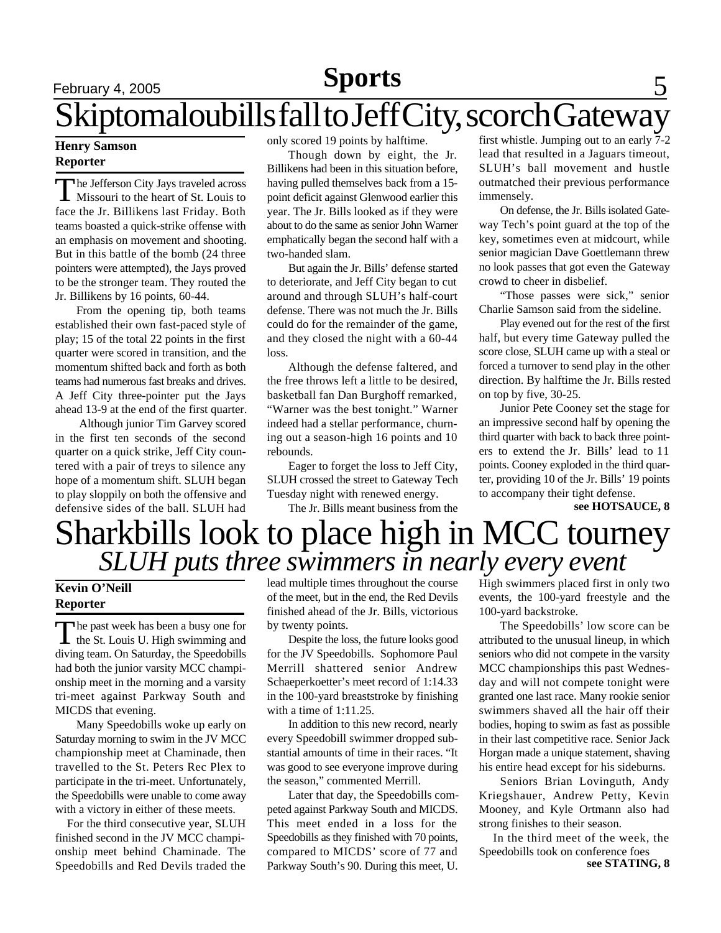### **Sports**

### February 4, 2005 **Sports** 5 Skiptomaloubills fall to Jeff City, scorch Gateway

### **Henry Samson Reporter**

T he Jefferson City Jays traveled across Missouri to the heart of St. Louis to face the Jr. Billikens last Friday. Both teams boasted a quick-strike offense with an emphasis on movement and shooting. But in this battle of the bomb (24 three pointers were attempted), the Jays proved to be the stronger team. They routed the Jr. Billikens by 16 points, 60-44.

From the opening tip, both teams established their own fast-paced style of play; 15 of the total 22 points in the first quarter were scored in transition, and the momentum shifted back and forth as both teams had numerous fast breaks and drives. A Jeff City three-pointer put the Jays ahead 13-9 at the end of the first quarter.

 Although junior Tim Garvey scored in the first ten seconds of the second quarter on a quick strike, Jeff City countered with a pair of treys to silence any hope of a momentum shift. SLUH began to play sloppily on both the offensive and defensive sides of the ball. SLUH had only scored 19 points by halftime.

Though down by eight, the Jr. Billikens had been in this situation before, having pulled themselves back from a 15 point deficit against Glenwood earlier this year. The Jr. Bills looked as if they were about to do the same as senior John Warner emphatically began the second half with a two-handed slam.

But again the Jr. Bills' defense started to deteriorate, and Jeff City began to cut around and through SLUH's half-court defense. There was not much the Jr. Bills could do for the remainder of the game, and they closed the night with a 60-44 loss.

Although the defense faltered, and the free throws left a little to be desired, basketball fan Dan Burghoff remarked, "Warner was the best tonight." Warner indeed had a stellar performance, churning out a season-high 16 points and 10 rebounds.

Eager to forget the loss to Jeff City, SLUH crossed the street to Gateway Tech Tuesday night with renewed energy.

The Jr. Bills meant business from the

first whistle. Jumping out to an early 7-2 lead that resulted in a Jaguars timeout, SLUH's ball movement and hustle outmatched their previous performance immensely.

On defense, the Jr. Bills isolated Gateway Tech's point guard at the top of the key, sometimes even at midcourt, while senior magician Dave Goettlemann threw no look passes that got even the Gateway crowd to cheer in disbelief.

"Those passes were sick," senior Charlie Samson said from the sideline.

Play evened out for the rest of the first half, but every time Gateway pulled the score close, SLUH came up with a steal or forced a turnover to send play in the other direction. By halftime the Jr. Bills rested on top by five, 30-25.

Junior Pete Cooney set the stage for an impressive second half by opening the third quarter with back to back three pointers to extend the Jr. Bills' lead to 11 points. Cooney exploded in the third quarter, providing 10 of the Jr. Bills' 19 points to accompany their tight defense.

**see HOTSAUCE, 8**

## Sharkbills look to place high in MCC tourney *SLUH puts three swimmers in nearly every event*

#### **Kevin O'Neill Reporter**

The past week has been a busy one for<br>the St. Louis U. High swimming and he past week has been a busy one for diving team. On Saturday, the Speedobills had both the junior varsity MCC championship meet in the morning and a varsity tri-meet against Parkway South and MICDS that evening.

Many Speedobills woke up early on Saturday morning to swim in the JV MCC championship meet at Chaminade, then travelled to the St. Peters Rec Plex to participate in the tri-meet. Unfortunately, the Speedobills were unable to come away with a victory in either of these meets.

 For the third consecutive year, SLUH finished second in the JV MCC championship meet behind Chaminade. The Speedobills and Red Devils traded the lead multiple times throughout the course of the meet, but in the end, the Red Devils finished ahead of the Jr. Bills, victorious by twenty points.

Despite the loss, the future looks good for the JV Speedobills. Sophomore Paul Merrill shattered senior Andrew Schaeperkoetter's meet record of 1:14.33 in the 100-yard breaststroke by finishing with a time of 1:11.25.

In addition to this new record, nearly every Speedobill swimmer dropped substantial amounts of time in their races. "It was good to see everyone improve during the season," commented Merrill.

Later that day, the Speedobills competed against Parkway South and MICDS. This meet ended in a loss for the Speedobills as they finished with 70 points, compared to MICDS' score of 77 and Parkway South's 90. During this meet, U. High swimmers placed first in only two events, the 100-yard freestyle and the 100-yard backstroke.

The Speedobills' low score can be attributed to the unusual lineup, in which seniors who did not compete in the varsity MCC championships this past Wednesday and will not compete tonight were granted one last race. Many rookie senior swimmers shaved all the hair off their bodies, hoping to swim as fast as possible in their last competitive race. Senior Jack Horgan made a unique statement, shaving his entire head except for his sideburns.

Seniors Brian Lovinguth, Andy Kriegshauer, Andrew Petty, Kevin Mooney, and Kyle Ortmann also had strong finishes to their season.

**see STATING, 8** In the third meet of the week, the Speedobills took on conference foes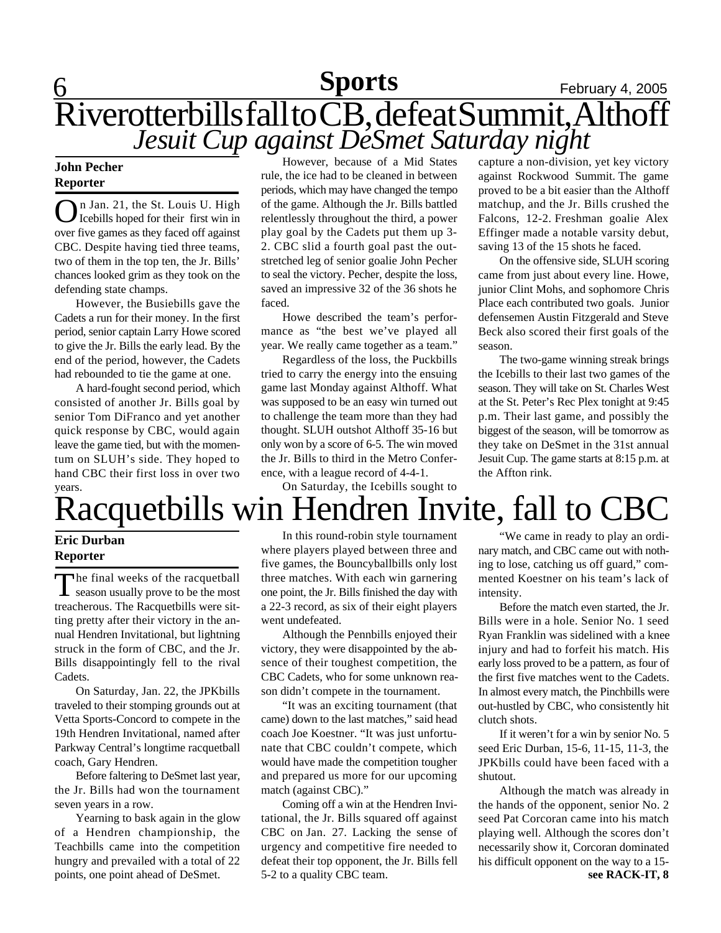### **Sports**

### **6 Sports** February 4, 2005 Riverotterbills fall to CB, defeat Summit, Althoff *Jesuit Cup against DeSmet Saturday night*

#### **John Pecher Reporter**

**O** I Jan. 21, the St. Louis U. High<br>Icebills hoped for their first win in n Jan. 21, the St. Louis U. High over five games as they faced off against CBC. Despite having tied three teams, two of them in the top ten, the Jr. Bills' chances looked grim as they took on the defending state champs.

However, the Busiebills gave the Cadets a run for their money. In the first period, senior captain Larry Howe scored to give the Jr. Bills the early lead. By the end of the period, however, the Cadets had rebounded to tie the game at one.

A hard-fought second period, which consisted of another Jr. Bills goal by senior Tom DiFranco and yet another quick response by CBC, would again leave the game tied, but with the momentum on SLUH's side. They hoped to hand CBC their first loss in over two years.

However, because of a Mid States rule, the ice had to be cleaned in between periods, which may have changed the tempo of the game. Although the Jr. Bills battled relentlessly throughout the third, a power play goal by the Cadets put them up 3- 2. CBC slid a fourth goal past the outstretched leg of senior goalie John Pecher to seal the victory. Pecher, despite the loss, saved an impressive 32 of the 36 shots he faced.

Howe described the team's performance as "the best we've played all year. We really came together as a team."

Regardless of the loss, the Puckbills tried to carry the energy into the ensuing game last Monday against Althoff. What was supposed to be an easy win turned out to challenge the team more than they had thought. SLUH outshot Althoff 35-16 but only won by a score of 6-5. The win moved the Jr. Bills to third in the Metro Conference, with a league record of 4-4-1.

On Saturday, the Icebills sought to

capture a non-division, yet key victory against Rockwood Summit. The game proved to be a bit easier than the Althoff matchup, and the Jr. Bills crushed the Falcons, 12-2. Freshman goalie Alex Effinger made a notable varsity debut, saving 13 of the 15 shots he faced.

On the offensive side, SLUH scoring came from just about every line. Howe, junior Clint Mohs, and sophomore Chris Place each contributed two goals. Junior defensemen Austin Fitzgerald and Steve Beck also scored their first goals of the season.

The two-game winning streak brings the Icebills to their last two games of the season. They will take on St. Charles West at the St. Peter's Rec Plex tonight at 9:45 p.m. Their last game, and possibly the biggest of the season, will be tomorrow as they take on DeSmet in the 31st annual Jesuit Cup. The game starts at 8:15 p.m. at the Affton rink.

# Racquetbills win Hendren Invite, fall to CBC

### **Eric Durban Reporter**

The final weeks of the racquetball<br>season usually prove to be the most he final weeks of the racquetball treacherous. The Racquetbills were sitting pretty after their victory in the annual Hendren Invitational, but lightning struck in the form of CBC, and the Jr. Bills disappointingly fell to the rival Cadets.

On Saturday, Jan. 22, the JPKbills traveled to their stomping grounds out at Vetta Sports-Concord to compete in the 19th Hendren Invitational, named after Parkway Central's longtime racquetball coach, Gary Hendren.

Before faltering to DeSmet last year, the Jr. Bills had won the tournament seven years in a row.

Yearning to bask again in the glow of a Hendren championship, the Teachbills came into the competition hungry and prevailed with a total of 22 points, one point ahead of DeSmet.

In this round-robin style tournament where players played between three and five games, the Bouncyballbills only lost three matches. With each win garnering one point, the Jr. Bills finished the day with a 22-3 record, as six of their eight players went undefeated.

Although the Pennbills enjoyed their victory, they were disappointed by the absence of their toughest competition, the CBC Cadets, who for some unknown reason didn't compete in the tournament.

"It was an exciting tournament (that came) down to the last matches," said head coach Joe Koestner. "It was just unfortunate that CBC couldn't compete, which would have made the competition tougher and prepared us more for our upcoming match (against CBC)."

Coming off a win at the Hendren Invitational, the Jr. Bills squared off against CBC on Jan. 27. Lacking the sense of urgency and competitive fire needed to defeat their top opponent, the Jr. Bills fell 5-2 to a quality CBC team.

"We came in ready to play an ordinary match, and CBC came out with nothing to lose, catching us off guard," commented Koestner on his team's lack of intensity.

Before the match even started, the Jr. Bills were in a hole. Senior No. 1 seed Ryan Franklin was sidelined with a knee injury and had to forfeit his match. His early loss proved to be a pattern, as four of the first five matches went to the Cadets. In almost every match, the Pinchbills were out-hustled by CBC, who consistently hit clutch shots.

If it weren't for a win by senior No. 5 seed Eric Durban, 15-6, 11-15, 11-3, the JPKbills could have been faced with a shutout.

**see RACK-IT, 8** Although the match was already in the hands of the opponent, senior No. 2 seed Pat Corcoran came into his match playing well. Although the scores don't necessarily show it, Corcoran dominated his difficult opponent on the way to a 15-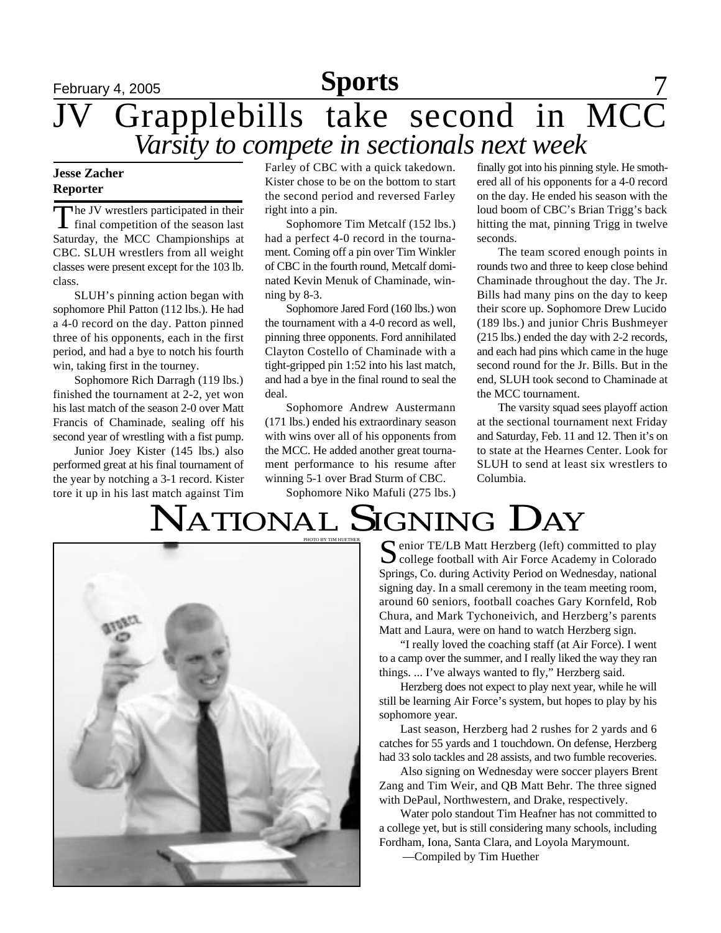### **February 4, 2005 Sports** 7 JV Grapplebills take second in MCC *Varsity to compete in sectionals next week*

#### **Jesse Zacher Reporter**

The JV wrestlers participated in their<br>final competition of the season last he JV wrestlers participated in their Saturday, the MCC Championships at CBC. SLUH wrestlers from all weight classes were present except for the 103 lb. class.

SLUH's pinning action began with sophomore Phil Patton (112 lbs.). He had a 4-0 record on the day. Patton pinned three of his opponents, each in the first period, and had a bye to notch his fourth win, taking first in the tourney.

Sophomore Rich Darragh (119 lbs.) finished the tournament at 2-2, yet won his last match of the season 2-0 over Matt Francis of Chaminade, sealing off his second year of wrestling with a fist pump.

Junior Joey Kister (145 lbs.) also performed great at his final tournament of the year by notching a 3-1 record. Kister tore it up in his last match against Tim Farley of CBC with a quick takedown. Kister chose to be on the bottom to start the second period and reversed Farley right into a pin.

Sophomore Tim Metcalf (152 lbs.) had a perfect 4-0 record in the tournament. Coming off a pin over Tim Winkler of CBC in the fourth round, Metcalf dominated Kevin Menuk of Chaminade, winning by 8-3.

Sophomore Jared Ford (160 lbs.) won the tournament with a 4-0 record as well, pinning three opponents. Ford annihilated Clayton Costello of Chaminade with a tight-gripped pin 1:52 into his last match, and had a bye in the final round to seal the deal.

Sophomore Andrew Austermann (171 lbs.) ended his extraordinary season with wins over all of his opponents from the MCC. He added another great tournament performance to his resume after winning 5-1 over Brad Sturm of CBC.

Sophomore Niko Mafuli (275 lbs.)

finally got into his pinning style. He smothered all of his opponents for a 4-0 record on the day. He ended his season with the loud boom of CBC's Brian Trigg's back hitting the mat, pinning Trigg in twelve seconds.

The team scored enough points in rounds two and three to keep close behind Chaminade throughout the day. The Jr. Bills had many pins on the day to keep their score up. Sophomore Drew Lucido (189 lbs.) and junior Chris Bushmeyer (215 lbs.) ended the day with 2-2 records, and each had pins which came in the huge second round for the Jr. Bills. But in the end, SLUH took second to Chaminade at the MCC tournament.

The varsity squad sees playoff action at the sectional tournament next Friday and Saturday, Feb. 11 and 12. Then it's on to state at the Hearnes Center. Look for SLUH to send at least six wrestlers to Columbia.

# NATIONAL SIGNING DAY



enior TE/LB Matt Herzberg (left) committed to play  $\bigcup$  college football with Air Force Academy in Colorado Springs, Co. during Activity Period on Wednesday, national signing day. In a small ceremony in the team meeting room, around 60 seniors, football coaches Gary Kornfeld, Rob Chura, and Mark Tychoneivich, and Herzberg's parents Matt and Laura, were on hand to watch Herzberg sign.

"I really loved the coaching staff (at Air Force). I went to a camp over the summer, and I really liked the way they ran things. ... I've always wanted to fly," Herzberg said.

Herzberg does not expect to play next year, while he will still be learning Air Force's system, but hopes to play by his sophomore year.

Last season, Herzberg had 2 rushes for 2 yards and 6 catches for 55 yards and 1 touchdown. On defense, Herzberg had 33 solo tackles and 28 assists, and two fumble recoveries.

Also signing on Wednesday were soccer players Brent Zang and Tim Weir, and QB Matt Behr. The three signed with DePaul, Northwestern, and Drake, respectively.

Water polo standout Tim Heafner has not committed to a college yet, but is still considering many schools, including Fordham, Iona, Santa Clara, and Loyola Marymount.

—Compiled by Tim Huether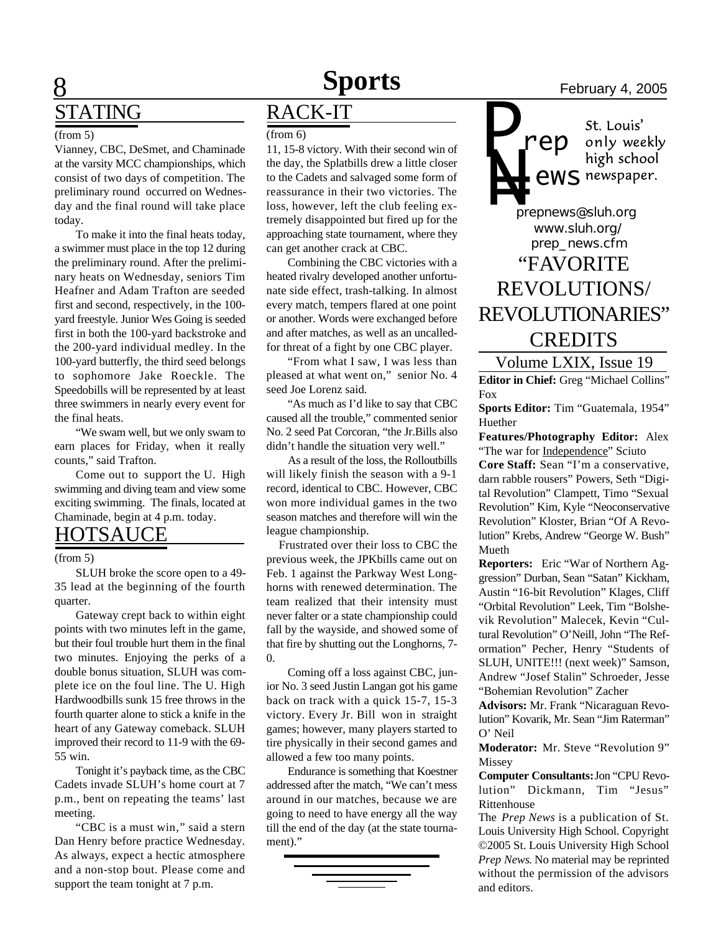### **8 Sports** February 4, 2005 STATING

#### (from 5)

Vianney, CBC, DeSmet, and Chaminade at the varsity MCC championships, which consist of two days of competition. The preliminary round occurred on Wednesday and the final round will take place today.

To make it into the final heats today, a swimmer must place in the top 12 during the preliminary round. After the preliminary heats on Wednesday, seniors Tim Heafner and Adam Trafton are seeded first and second, respectively, in the 100 yard freestyle. Junior Wes Going is seeded first in both the 100-yard backstroke and the 200-yard individual medley. In the 100-yard butterfly, the third seed belongs to sophomore Jake Roeckle. The Speedobills will be represented by at least three swimmers in nearly every event for the final heats.

"We swam well, but we only swam to earn places for Friday, when it really counts," said Trafton.

Come out to support the U. High swimming and diving team and view some exciting swimming. The finals, located at Chaminade, begin at 4 p.m. today.

### HOTSAUCE

#### (from 5)

SLUH broke the score open to a 49- 35 lead at the beginning of the fourth quarter.

Gateway crept back to within eight points with two minutes left in the game, but their foul trouble hurt them in the final two minutes. Enjoying the perks of a double bonus situation, SLUH was complete ice on the foul line. The U. High Hardwoodbills sunk 15 free throws in the fourth quarter alone to stick a knife in the heart of any Gateway comeback. SLUH improved their record to 11-9 with the 69- 55 win.

Tonight it's payback time, as the CBC Cadets invade SLUH's home court at 7 p.m., bent on repeating the teams' last meeting.

"CBC is a must win," said a stern Dan Henry before practice Wednesday. As always, expect a hectic atmosphere and a non-stop bout. Please come and support the team tonight at 7 p.m.

### RACK-IT

(from 6)

11, 15-8 victory. With their second win of the day, the Splatbills drew a little closer to the Cadets and salvaged some form of reassurance in their two victories. The loss, however, left the club feeling extremely disappointed but fired up for the approaching state tournament, where they can get another crack at CBC.

Combining the CBC victories with a heated rivalry developed another unfortunate side effect, trash-talking. In almost every match, tempers flared at one point or another. Words were exchanged before and after matches, as well as an uncalledfor threat of a fight by one CBC player.

"From what I saw, I was less than pleased at what went on," senior No. 4 seed Joe Lorenz said.

"As much as I'd like to say that CBC caused all the trouble," commented senior No. 2 seed Pat Corcoran, "the Jr.Bills also didn't handle the situation very well."

 As a result of the loss, the Rolloutbills will likely finish the season with a 9-1 record, identical to CBC. However, CBC won more individual games in the two season matches and therefore will win the league championship.

 Frustrated over their loss to CBC the previous week, the JPKbills came out on Feb. 1 against the Parkway West Longhorns with renewed determination. The team realized that their intensity must never falter or a state championship could fall by the wayside, and showed some of that fire by shutting out the Longhorns, 7- 0.

Coming off a loss against CBC, junior No. 3 seed Justin Langan got his game back on track with a quick 15-7, 15-3 victory. Every Jr. Bill won in straight games; however, many players started to tire physically in their second games and allowed a few too many points.

Endurance is something that Koestner addressed after the match, "We can't mess around in our matches, because we are going to need to have energy all the way till the end of the day (at the state tournament)."



*P* St. Louis' only weekly<br>high school *rep* **ews** newspaper.

*prepnews@sluh.org* **N=**<br>*pre www.sluh.org/ prep\_news.cfm* "FAVORITE REVOLUTIONS/ REVOLUTIONARIES" **CREDITS** 

Volume LXIX, Issue 19 **Editor in Chief:** Greg "Michael Collins" Fox

**Sports Editor:** Tim "Guatemala, 1954" Huether

**Features/Photography Editor:** Alex "The war for Independence" Sciuto **Core Staff:** Sean "I'm a conservative,

darn rabble rousers" Powers, Seth "Digital Revolution" Clampett, Timo "Sexual Revolution" Kim, Kyle "Neoconservative Revolution" Kloster, Brian "Of A Revolution" Krebs, Andrew "George W. Bush" Mueth

**Reporters:** Eric "War of Northern Aggression" Durban, Sean "Satan" Kickham, Austin "16-bit Revolution" Klages, Cliff "Orbital Revolution" Leek, Tim "Bolshevik Revolution" Malecek, Kevin "Cultural Revolution" O'Neill, John "The Reformation" Pecher, Henry "Students of SLUH, UNITE!!! (next week)" Samson, Andrew "Josef Stalin" Schroeder, Jesse "Bohemian Revolution" Zacher

**Advisors:** Mr. Frank "Nicaraguan Revolution" Kovarik, Mr. Sean "Jim Raterman" O' Neil

**Moderator:** Mr. Steve "Revolution 9" Missey

**Computer Consultants:** Jon "CPU Revolution" Dickmann, Tim "Jesus" Rittenhouse

The *Prep News* is a publication of St. Louis University High School. Copyright ©2005 St. Louis University High School *Prep News*. No material may be reprinted without the permission of the advisors and editors.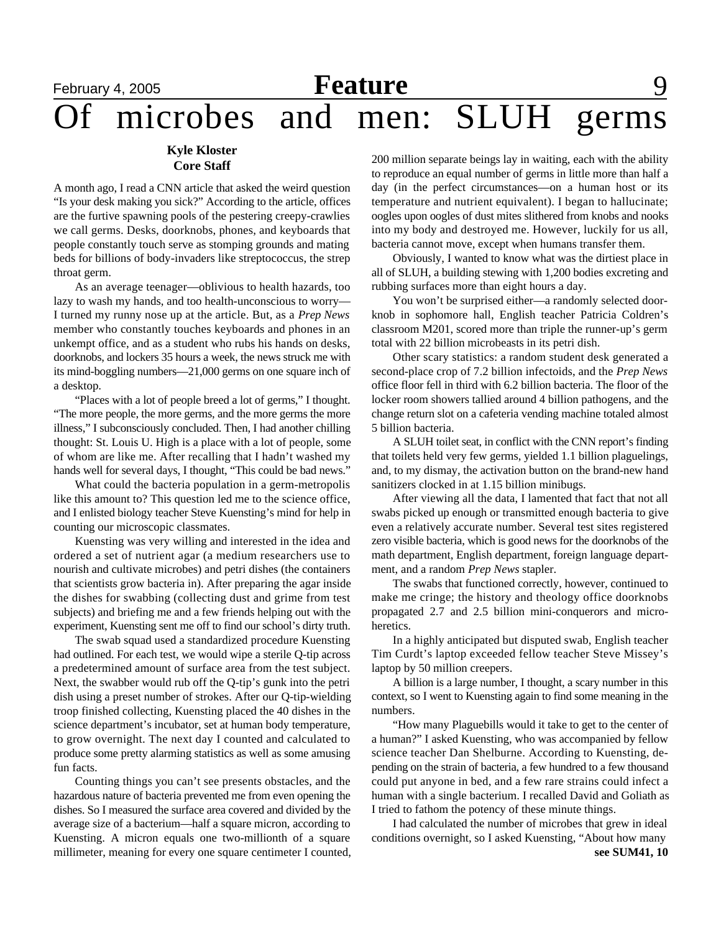### **Kyle Kloster Core Staff**

A month ago, I read a CNN article that asked the weird question "Is your desk making you sick?" According to the article, offices are the furtive spawning pools of the pestering creepy-crawlies we call germs. Desks, doorknobs, phones, and keyboards that people constantly touch serve as stomping grounds and mating beds for billions of body-invaders like streptococcus, the strep throat germ.

As an average teenager—oblivious to health hazards, too lazy to wash my hands, and too health-unconscious to worry— I turned my runny nose up at the article. But, as a *Prep News* member who constantly touches keyboards and phones in an unkempt office, and as a student who rubs his hands on desks, doorknobs, and lockers 35 hours a week, the news struck me with its mind-boggling numbers—21,000 germs on one square inch of a desktop.

"Places with a lot of people breed a lot of germs," I thought. "The more people, the more germs, and the more germs the more illness," I subconsciously concluded. Then, I had another chilling thought: St. Louis U. High is a place with a lot of people, some of whom are like me. After recalling that I hadn't washed my hands well for several days, I thought, "This could be bad news."

What could the bacteria population in a germ-metropolis like this amount to? This question led me to the science office, and I enlisted biology teacher Steve Kuensting's mind for help in counting our microscopic classmates.

Kuensting was very willing and interested in the idea and ordered a set of nutrient agar (a medium researchers use to nourish and cultivate microbes) and petri dishes (the containers that scientists grow bacteria in). After preparing the agar inside the dishes for swabbing (collecting dust and grime from test subjects) and briefing me and a few friends helping out with the experiment, Kuensting sent me off to find our school's dirty truth.

The swab squad used a standardized procedure Kuensting had outlined. For each test, we would wipe a sterile Q-tip across a predetermined amount of surface area from the test subject. Next, the swabber would rub off the Q-tip's gunk into the petri dish using a preset number of strokes. After our Q-tip-wielding troop finished collecting, Kuensting placed the 40 dishes in the science department's incubator, set at human body temperature, to grow overnight. The next day I counted and calculated to produce some pretty alarming statistics as well as some amusing fun facts.

Counting things you can't see presents obstacles, and the hazardous nature of bacteria prevented me from even opening the dishes. So I measured the surface area covered and divided by the average size of a bacterium—half a square micron, according to Kuensting. A micron equals one two-millionth of a square millimeter, meaning for every one square centimeter I counted,

200 million separate beings lay in waiting, each with the ability to reproduce an equal number of germs in little more than half a day (in the perfect circumstances—on a human host or its temperature and nutrient equivalent). I began to hallucinate; oogles upon oogles of dust mites slithered from knobs and nooks into my body and destroyed me. However, luckily for us all, bacteria cannot move, except when humans transfer them.

Obviously, I wanted to know what was the dirtiest place in all of SLUH, a building stewing with 1,200 bodies excreting and rubbing surfaces more than eight hours a day.

You won't be surprised either—a randomly selected doorknob in sophomore hall, English teacher Patricia Coldren's classroom M201, scored more than triple the runner-up's germ total with 22 billion microbeasts in its petri dish.

Other scary statistics: a random student desk generated a second-place crop of 7.2 billion infectoids, and the *Prep News* office floor fell in third with 6.2 billion bacteria. The floor of the locker room showers tallied around 4 billion pathogens, and the change return slot on a cafeteria vending machine totaled almost 5 billion bacteria.

A SLUH toilet seat, in conflict with the CNN report's finding that toilets held very few germs, yielded 1.1 billion plaguelings, and, to my dismay, the activation button on the brand-new hand sanitizers clocked in at 1.15 billion minibugs.

After viewing all the data, I lamented that fact that not all swabs picked up enough or transmitted enough bacteria to give even a relatively accurate number. Several test sites registered zero visible bacteria, which is good news for the doorknobs of the math department, English department, foreign language department, and a random *Prep News* stapler.

The swabs that functioned correctly, however, continued to make me cringe; the history and theology office doorknobs propagated 2.7 and 2.5 billion mini-conquerors and microheretics.

In a highly anticipated but disputed swab, English teacher Tim Curdt's laptop exceeded fellow teacher Steve Missey's laptop by 50 million creepers.

A billion is a large number, I thought, a scary number in this context, so I went to Kuensting again to find some meaning in the numbers.

"How many Plaguebills would it take to get to the center of a human?" I asked Kuensting, who was accompanied by fellow science teacher Dan Shelburne. According to Kuensting, depending on the strain of bacteria, a few hundred to a few thousand could put anyone in bed, and a few rare strains could infect a human with a single bacterium. I recalled David and Goliath as I tried to fathom the potency of these minute things.

I had calculated the number of microbes that grew in ideal conditions overnight, so I asked Kuensting, "About how many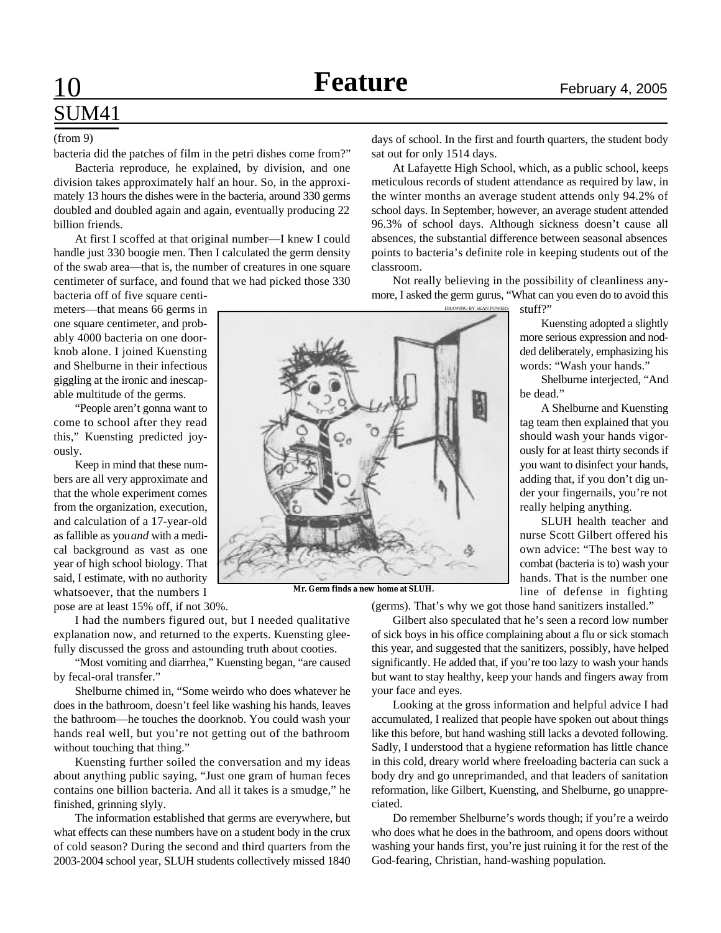# SUM41

#### (from 9)

bacteria did the patches of film in the petri dishes come from?"

Bacteria reproduce, he explained, by division, and one division takes approximately half an hour. So, in the approximately 13 hours the dishes were in the bacteria, around 330 germs doubled and doubled again and again, eventually producing 22 billion friends.

At first I scoffed at that original number—I knew I could handle just 330 boogie men. Then I calculated the germ density of the swab area—that is, the number of creatures in one square centimeter of surface, and found that we had picked those 330

bacteria off of five square centimeters—that means 66 germs in one square centimeter, and probably 4000 bacteria on one doorknob alone. I joined Kuensting and Shelburne in their infectious giggling at the ironic and inescapable multitude of the germs.

"People aren't gonna want to come to school after they read this," Kuensting predicted joyously.

Keep in mind that these numbers are all very approximate and that the whole experiment comes from the organization, execution, and calculation of a 17-year-old as fallible as you *and* with a medical background as vast as one year of high school biology. That said, I estimate, with no authority whatsoever, that the numbers I pose are at least 15% off, if not 30%.

I had the numbers figured out, but I needed qualitative explanation now, and returned to the experts. Kuensting gleefully discussed the gross and astounding truth about cooties.

"Most vomiting and diarrhea," Kuensting began, "are caused by fecal-oral transfer."

Shelburne chimed in, "Some weirdo who does whatever he does in the bathroom, doesn't feel like washing his hands, leaves the bathroom—he touches the doorknob. You could wash your hands real well, but you're not getting out of the bathroom without touching that thing."

Kuensting further soiled the conversation and my ideas about anything public saying, "Just one gram of human feces contains one billion bacteria. And all it takes is a smudge," he finished, grinning slyly.

The information established that germs are everywhere, but what effects can these numbers have on a student body in the crux of cold season? During the second and third quarters from the 2003-2004 school year, SLUH students collectively missed 1840

days of school. In the first and fourth quarters, the student body sat out for only 1514 days.

At Lafayette High School, which, as a public school, keeps meticulous records of student attendance as required by law, in the winter months an average student attends only 94.2% of school days. In September, however, an average student attended 96.3% of school days. Although sickness doesn't cause all absences, the substantial difference between seasonal absences points to bacteria's definite role in keeping students out of the classroom.

Not really believing in the possibility of cleanliness anymore, I asked the germ gurus, "What can you even do to avoid this

DRAWING BY SEAN POWERS

stuff?"

Kuensting adopted a slightly more serious expression and nodded deliberately, emphasizing his words: "Wash your hands."

Shelburne interjected, "And be dead."

A Shelburne and Kuensting tag team then explained that you should wash your hands vigorously for at least thirty seconds if you want to disinfect your hands, adding that, if you don't dig under your fingernails, you're not really helping anything.

SLUH health teacher and nurse Scott Gilbert offered his own advice: "The best way to combat (bacteria is to) wash your hands. That is the number one line of defense in fighting

**Mr. Germ finds a new home at SLUH.**

(germs). That's why we got those hand sanitizers installed."

Gilbert also speculated that he's seen a record low number of sick boys in his office complaining about a flu or sick stomach this year, and suggested that the sanitizers, possibly, have helped significantly. He added that, if you're too lazy to wash your hands but want to stay healthy, keep your hands and fingers away from your face and eyes.

Looking at the gross information and helpful advice I had accumulated, I realized that people have spoken out about things like this before, but hand washing still lacks a devoted following. Sadly, I understood that a hygiene reformation has little chance in this cold, dreary world where freeloading bacteria can suck a body dry and go unreprimanded, and that leaders of sanitation reformation, like Gilbert, Kuensting, and Shelburne, go unappreciated.

Do remember Shelburne's words though; if you're a weirdo who does what he does in the bathroom, and opens doors without washing your hands first, you're just ruining it for the rest of the God-fearing, Christian, hand-washing population.

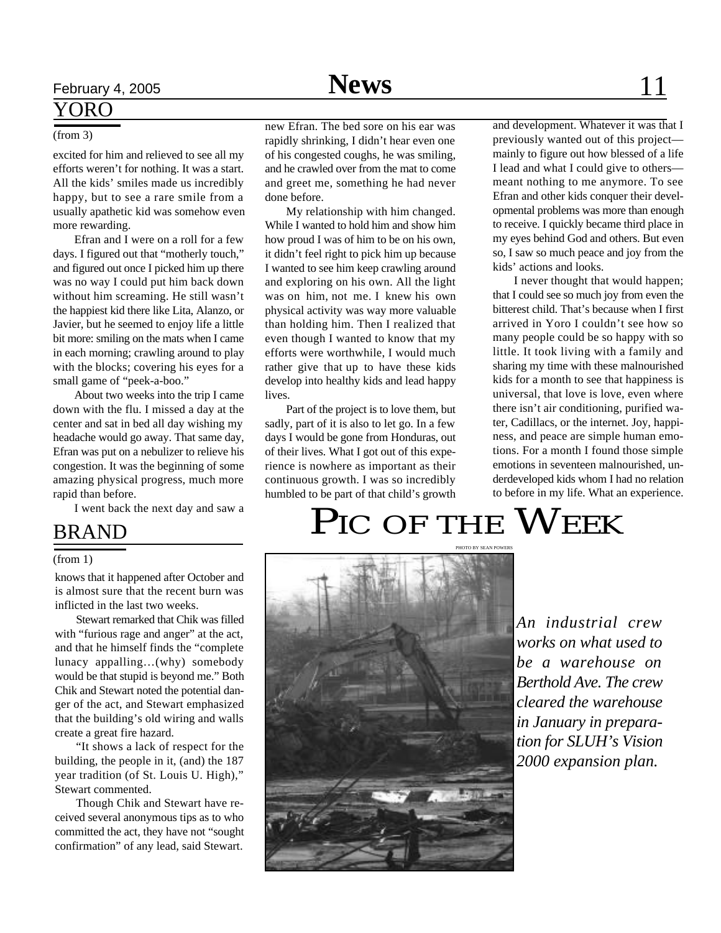## February 4, 2005 **News** 11

### YORO

### (from 3)

excited for him and relieved to see all my efforts weren't for nothing. It was a start. All the kids' smiles made us incredibly happy, but to see a rare smile from a usually apathetic kid was somehow even more rewarding.

Efran and I were on a roll for a few days. I figured out that "motherly touch," and figured out once I picked him up there was no way I could put him back down without him screaming. He still wasn't the happiest kid there like Lita, Alanzo, or Javier, but he seemed to enjoy life a little bit more: smiling on the mats when I came in each morning; crawling around to play with the blocks; covering his eyes for a small game of "peek-a-boo."

About two weeks into the trip I came down with the flu. I missed a day at the center and sat in bed all day wishing my headache would go away. That same day, Efran was put on a nebulizer to relieve his congestion. It was the beginning of some amazing physical progress, much more rapid than before.

I went back the next day and saw a

### BRAND

#### (from 1)

knows that it happened after October and is almost sure that the recent burn was inflicted in the last two weeks.

Stewart remarked that Chik was filled with "furious rage and anger" at the act, and that he himself finds the "complete lunacy appalling…(why) somebody would be that stupid is beyond me." Both Chik and Stewart noted the potential danger of the act, and Stewart emphasized that the building's old wiring and walls create a great fire hazard.

"It shows a lack of respect for the building, the people in it, (and) the 187 year tradition (of St. Louis U. High)," Stewart commented.

Though Chik and Stewart have received several anonymous tips as to who committed the act, they have not "sought confirmation" of any lead, said Stewart.

new Efran. The bed sore on his ear was rapidly shrinking, I didn't hear even one of his congested coughs, he was smiling, and he crawled over from the mat to come and greet me, something he had never done before.

My relationship with him changed. While I wanted to hold him and show him how proud I was of him to be on his own, it didn't feel right to pick him up because I wanted to see him keep crawling around and exploring on his own. All the light was on him, not me. I knew his own physical activity was way more valuable than holding him. Then I realized that even though I wanted to know that my efforts were worthwhile, I would much rather give that up to have these kids develop into healthy kids and lead happy lives.

Part of the project is to love them, but sadly, part of it is also to let go. In a few days I would be gone from Honduras, out of their lives. What I got out of this experience is nowhere as important as their continuous growth. I was so incredibly humbled to be part of that child's growth and development. Whatever it was that I previously wanted out of this project mainly to figure out how blessed of a life I lead and what I could give to others meant nothing to me anymore. To see Efran and other kids conquer their developmental problems was more than enough to receive. I quickly became third place in my eyes behind God and others. But even so, I saw so much peace and joy from the kids' actions and looks.

I never thought that would happen; that I could see so much joy from even the bitterest child. That's because when I first arrived in Yoro I couldn't see how so many people could be so happy with so little. It took living with a family and sharing my time with these malnourished kids for a month to see that happiness is universal, that love is love, even where there isn't air conditioning, purified water, Cadillacs, or the internet. Joy, happiness, and peace are simple human emotions. For a month I found those simple emotions in seventeen malnourished, underdeveloped kids whom I had no relation to before in my life. What an experience.

## PIC OF THE WEEK



*An industrial crew works on what used to be a warehouse on Berthold Ave. The crew cleared the warehouse in January in preparation for SLUH's Vision 2000 expansion plan.*